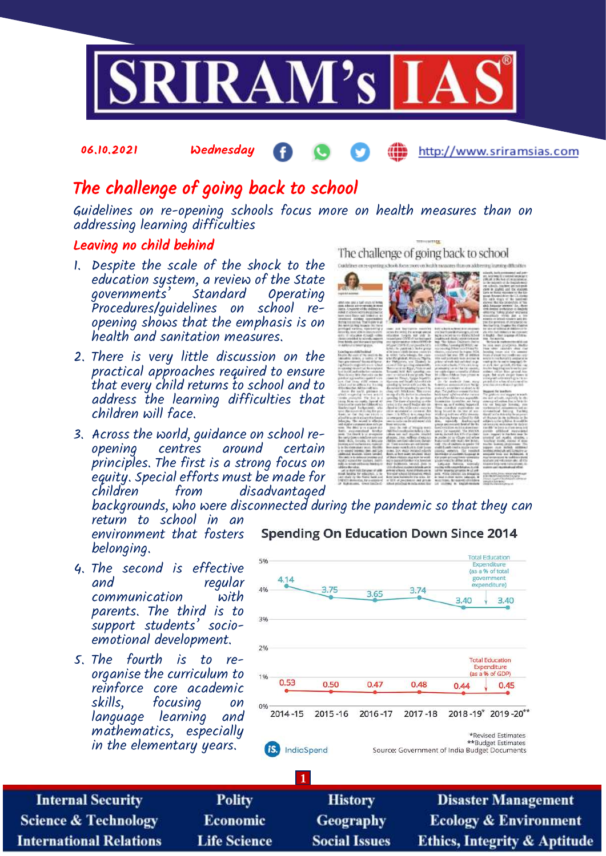

# The challenge of going back to school

Guidelines on re-opening schools focus more on health measures than on addressing learning difficulties

#### Leaving no child behind

06.10.2021 Wednesday

- 1. Despite the scale of the shock to the education system, a review of the State governments' Standard Operating Procedures/quidelines on opening shows that the emphasis is on health and sanitation measures.
- 2. There is very little discussion on the practical approaches required to ensure that every child returns to school and to address the learning difficulties that children will face.
- 3. Across the world, guidance on school reopening centres around certain principles. The first is a strong focus on equity. Special efforts must be made for from disadvantaged

The challenge of going back to school

**ATTER** 



http://www.sriramsias.com

backgrounds, who were disconnected during the pandemic so that they can return to school in an **Spending On Education Down Since 2014** 

environment that fosters belonging.

- 4. The second is effective and regular communication with parents. The third is to support students' socioemotional development.
- 5. The fourth is to reorganise the curriculum to reinforce core academic skills, focusing on language learning and mathematics, especially in the elementary years.



**Internal Security Science & Technology International Relations** 

**Polity** Economic **Life Science** 

**History Geography Social Issues** 

**Disaster Management Ecology & Environment Ethics, Integrity & Aptitude**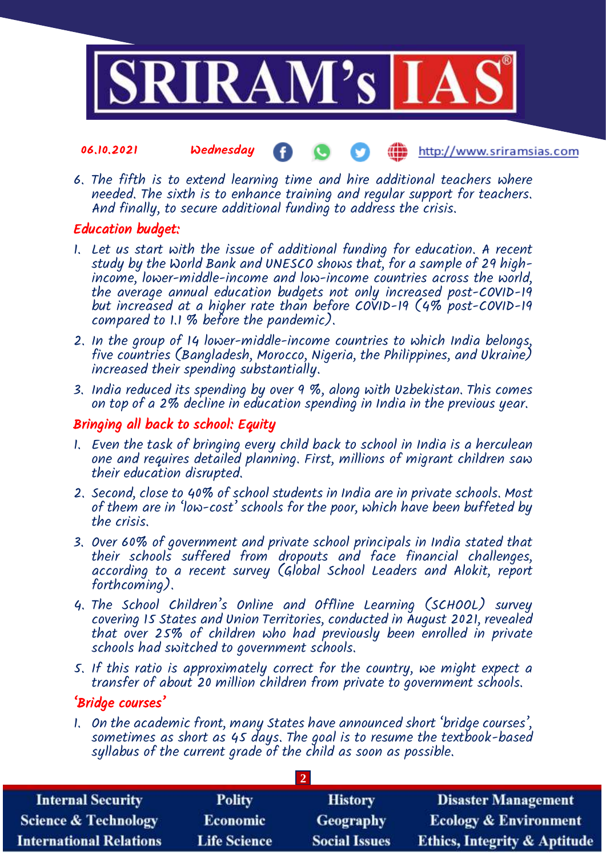

#### 06.10.2021 Wednesday http://www.sriramsias.com

6. The fifth is to extend learning time and hire additional teachers where needed. The sixth is to enhance training and regular support for teachers. And finally, to secure additional funding to address the crisis.

## Education budget:

- 1. Let us start with the issue of additional funding for education. A recent study by the World Bank and UNESCO shows that, for a sample of 29 highincome, lower-middle-income and low-income countries across the world, the average annual education budgets not only increased post-COVID-19 but increased at a higher rate than before COVID-19 (4% post-COVID-19 compared to 1.1 % before the pandemic).
- 2. In the group of 14 lower-middle-income countries to which India belongs, five countries (Bangladesh, Morocco, Nigeria, the Philippines, and Ukraine) increased their spending substantially.
- 3. India reduced its spending by over 9 %, along with Uzbekistan. This comes on top of a 2% decline in education spending in India in the previous year.

### Bringing all back to school: Equity

- 1. Even the task of bringing every child back to school in India is a herculean one and requires detailed planning. First, millions of migrant children saw their education disrupted.
- 2. Second, close to 40% of school students in India are in private schools. Most of them are in 'low-cost' schools for the poor, which have been buffeted by the crisis.
- 3. Over 60% of government and private school principals in India stated that their schools suffered from dropouts and face financial challenges, according to a recent survey (Global School Leaders and Alokit, report forthcoming).
- 4. The School Children's Online and Offline Learning (SCHOOL) survey covering 15 States and Union Territories, conducted in August 2021, revealed that over 25% of children who had previously been enrolled in private schools had switched to government schools.
- 5. If this ratio is approximately correct for the country, we might expect a transfer of about 20 million children from private to government schools.

### 'Bridge courses'

1. On the academic front, many States have announced short 'bridge courses', sometimes as short as 45 days. The goal is to resume the textbook-based syllabus of the current grade of the child as soon as possible.

**2** 

| <b>Internal Security</b>        | <b>Polity</b>       | <b>History</b>       | <b>Disaster Management</b>              |
|---------------------------------|---------------------|----------------------|-----------------------------------------|
| <b>Science &amp; Technology</b> | <b>Economic</b>     | <b>Geography</b>     | <b>Ecology &amp; Environment</b>        |
| <b>International Relations</b>  | <b>Life Science</b> | <b>Social Issues</b> | <b>Ethics, Integrity &amp; Aptitude</b> |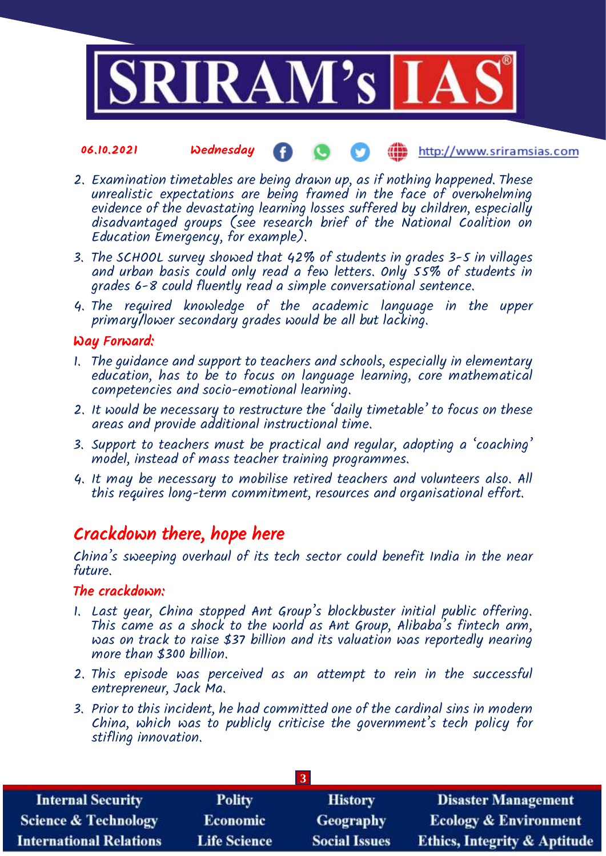

#### 06.10.2021 Wednesday **(iii)** http://www.sriramsias.com

- 2. Examination timetables are being drawn up, as if nothing happened. These unrealistic expectations are being framed in the face of overwhelming evidence of the devastating learning losses suffered by children, especially disadvantaged groups (see research brief of the National Coalition on Education Emergency, for example).
- 3. The SCHOOL survey showed that 42% of students in grades 3-5 in villages and urban basis could only read a few letters. Only 55% of students in grades 6-8 could fluently read a simple conversational sentence.
- 4. The required knowledge of the academic language in the upper primary/lower secondary grades would be all but lacking.

#### Way Forward:

- 1. The guidance and support to teachers and schools, especially in elementary education, has to be to focus on language learning, core mathematical competencies and socio-emotional learning.
- 2. It would be necessary to restructure the 'daily timetable' to focus on these areas and provide additional instructional time.
- 3. Support to teachers must be practical and regular, adopting a 'coaching' model, instead of mass teacher training programmes.
- 4. It may be necessary to mobilise retired teachers and volunteers also. All this requires long-term commitment, resources and organisational effort.

## Crackdown there, hope here

China's sweeping overhaul of its tech sector could benefit India in the near future.

#### The crackdown:

- 1. Last year, China stopped Ant Group's blockbuster initial public offering. This came as a shock to the world as Ant Group, Alibaba's fintech arm, was on track to raise \$37 billion and its valuation was reportedly nearing more than \$300 billion.
- 2. This episode was perceived as an attempt to rein in the successful entrepreneur, Jack Ma.
- 3. Prior to this incident, he had committed one of the cardinal sins in modern China, which was to publicly criticise the government's tech policy for stifling innovation.

| <b>Internal Security</b>        | <b>Polity</b>       | <b>History</b>       | <b>Disaster Management</b>              |
|---------------------------------|---------------------|----------------------|-----------------------------------------|
| <b>Science &amp; Technology</b> | <b>Economic</b>     | Geography            | <b>Ecology &amp; Environment</b>        |
| <b>International Relations</b>  | <b>Life Science</b> | <b>Social Issues</b> | <b>Ethics, Integrity &amp; Aptitude</b> |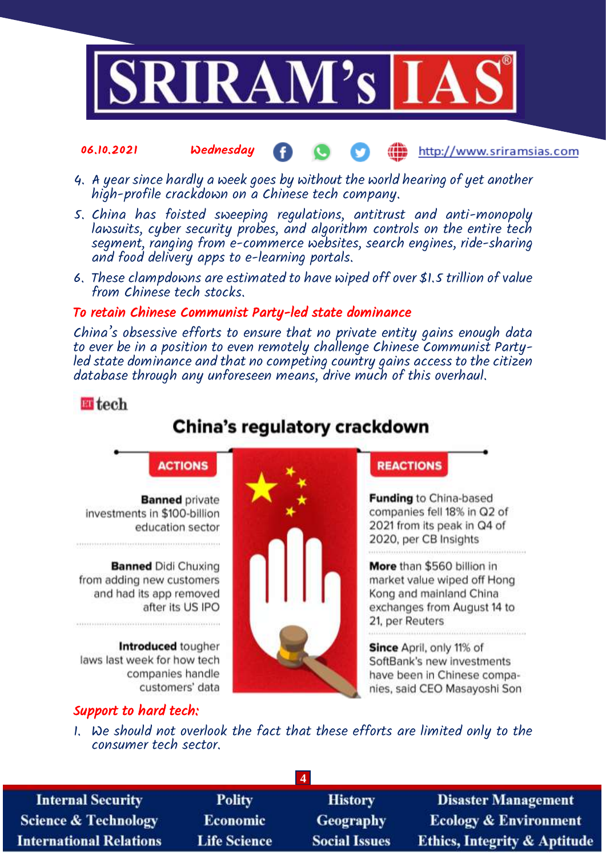

#### 06.10.2021 Wednesday Œ http://www.sriramsias.com

- 4. A year since hardly a week goes by without the world hearing of yet another high-profile crackdown on a Chinese tech company.
- 5. China has foisted sweeping regulations, antitrust and anti-monopoly lawsuits, cyber security probes, and algorithm controls on the entire tech segment, ranging from e-commerce websites, search engines, ride-sharing and food delivery apps to e-learning portals.
- 6. These clampdowns are estimated to have wiped off over \$1.5 trillion of value from Chinese tech stocks.

#### To retain Chinese Communist Party-led state dominance

China's obsessive efforts to ensure that no private entity gains enough data to ever be in a position to even remotely challenge Chinese Communist Partyled state dominance and that no competing country gains access to the citizen database through any unforeseen means, drive much of this overhaul.

### **ET** tech

# China's regulatory crackdown



**Banned** private investments in \$100-billion education sector

**Banned Didi Chuxing** from adding new customers and had its app removed after its US IPO

Introduced tougher laws last week for how tech companies handle customers' data

## Support to hard tech:

**REACTIONS** 

**Funding to China-based** companies fell 18% in Q2 of 2021 from its peak in Q4 of 2020, per CB Insights 

More than \$560 billion in market value wiped off Hong Kong and mainland China exchanges from August 14 to 21, per Reuters

Since April, only 11% of SoftBank's new investments have been in Chinese companies, said CEO Masayoshi Son

1. We should not overlook the fact that these efforts are limited only to the consumer tech sector.

| <b>Internal Security</b>        | <b>Polity</b>       | <b>History</b>       | <b>Disaster Management</b>              |
|---------------------------------|---------------------|----------------------|-----------------------------------------|
| <b>Science &amp; Technology</b> | <b>Economic</b>     | <b>Geography</b>     | <b>Ecology &amp; Environment</b>        |
| <b>International Relations</b>  | <b>Life Science</b> | <b>Social Issues</b> | <b>Ethics, Integrity &amp; Aptitude</b> |
|                                 |                     |                      |                                         |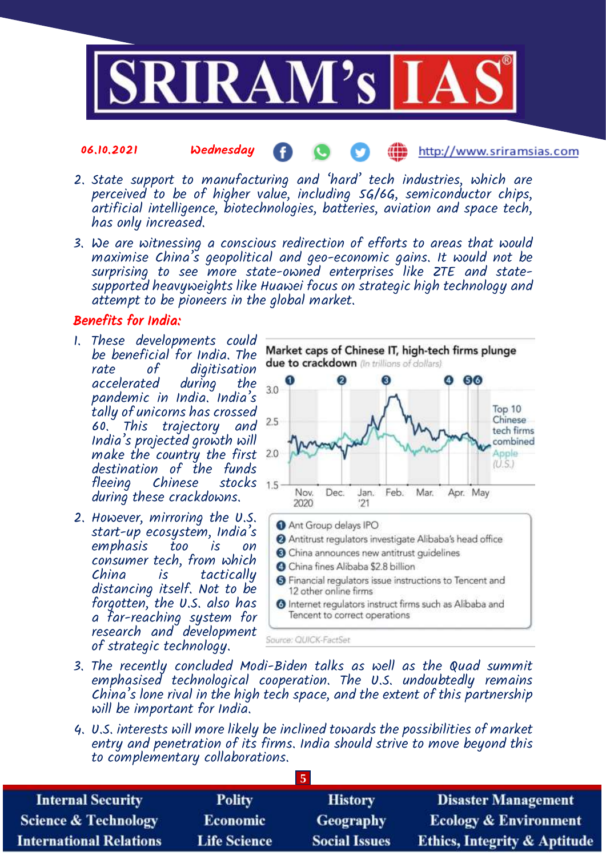

- 06.10.2021 Wednesday http://www.sriramsias.com
- 2. State support to manufacturing and 'hard' tech industries, which are perceived to be of higher value, including 5G/6G, semiconductor chips, artificial intelligence, biotechnologies, batteries, aviation and space tech, has only increased.
- 3. We are witnessing a conscious redirection of efforts to areas that would maximise China's geopolitical and geo-economic gains. It would not be surprising to see more state-owned enterprises like ZTE and statesupported heavyweights like Huawei focus on strategic high technology and attempt to be pioneers in the global market.

#### Benefits for India:

- 1. These developments could be beneficial for India. The rate of digitisation accelerated pandemic in India. India's tally of unicorns has crossed 60. This trajectory and India's projected growth will make the country the first 2.0 destination of the funds<br>fleeing Chinese stocks 15 Chinese during these crackdowns.
- 2. However, mirroring the U.S. start-up ecosystem, India's emphasis too is on consumer tech, from which China is tactically distancing itself. Not to be forgotten, the U.S. also has a far-reaching system for research and development of strategic technology.



- 3. The recently concluded Modi-Biden talks as well as the Quad summit emphasised technological cooperation. The U.S. undoubtedly remains China's lone rival in the high tech space, and the extent of this partnership will be important for India.
- 4. U.S. interests will more likely be inclined towards the possibilities of market entry and penetration of its firms. India should strive to move beyond this to complementary collaborations.

| <b>Internal Security</b>        | <b>Polity</b>       | <b>History</b>       | <b>Disaster Management</b>              |
|---------------------------------|---------------------|----------------------|-----------------------------------------|
| <b>Science &amp; Technology</b> | Economic            | Geography            | <b>Ecology &amp; Environment</b>        |
| <b>International Relations</b>  | <b>Life Science</b> | <b>Social Issues</b> | <b>Ethics, Integrity &amp; Aptitude</b> |